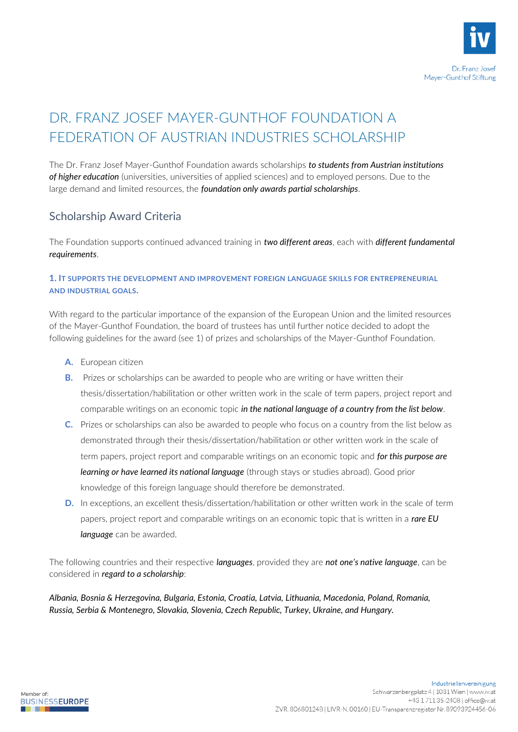

# DR. FRANZ JOSEF MAYER-GUNTHOF FOUNDATION A FEDERATION OF AUSTRIAN INDUSTRIES SCHOLARSHIP

The Dr. Franz Josef Mayer-Gunthof Foundation awards scholarships *to students from Austrian institutions of higher education* (universities, universities of applied sciences) and to employed persons. Due to the large demand and limited resources, the *foundation only awards partial scholarships*.

## Scholarship Award Criteria

The Foundation supports continued advanced training in *two different areas*, each with *different fundamental requirements*.

### **1. IT SUPPORTS THE DEVELOPMENT AND IMPROVEMENT FOREIGN LANGUAGE SKILLS FOR ENTREPRENEURIAL AND INDUSTRIAL GOALS.**

With regard to the particular importance of the expansion of the European Union and the limited resources of the Mayer-Gunthof Foundation, the board of trustees has until further notice decided to adopt the following guidelines for the award (see 1) of prizes and scholarships of the Mayer-Gunthof Foundation.

- **A.** European citizen
- **B.** Prizes or scholarships can be awarded to people who are writing or have written their thesis/dissertation/habilitation or other written work in the scale of term papers, project report and comparable writings on an economic topic *in the national language of a country from the list below*.
- **C.** Prizes or scholarships can also be awarded to people who focus on a country from the list below as demonstrated through their thesis/dissertation/habilitation or other written work in the scale of term papers, project report and comparable writings on an economic topic and *for this purpose are learning or have learned its national language* (through stays or studies abroad). Good prior knowledge of this foreign language should therefore be demonstrated.
- **D.** In exceptions, an excellent thesis/dissertation/habilitation or other written work in the scale of term papers, project report and comparable writings on an economic topic that is written in a *rare EU language* can be awarded.

The following countries and their respective *languages*, provided they are *not one's native language*, can be considered in *regard to a scholarship*:

*Albania, Bosnia & Herzegovina, Bulgaria, Estonia, Croatia, Latvia, Lithuania, Macedonia, Poland, Romania, Russia, Serbia & Montenegro, Slovakia, Slovenia, Czech Republic, Turkey, Ukraine, and Hungary.*